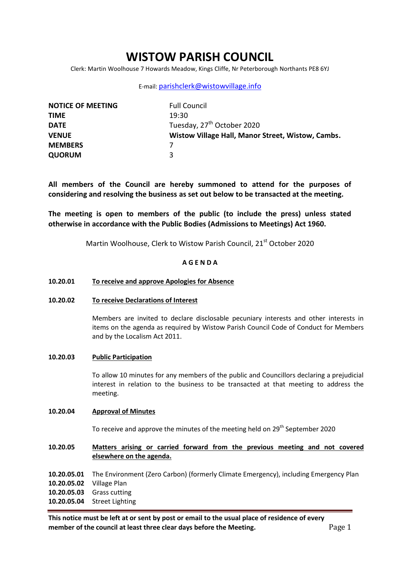# **WISTOW PARISH COUNCIL**

Clerk: Martin Woolhouse 7 Howards Meadow, Kings Cliffe, Nr Peterborough Northants PE8 6YJ

### E-mail: [parishclerk@wistowvillage.info](mailto:parishclerk@wistowvillage.info)

| <b>NOTICE OF MEETING</b> | <b>Full Council</b>                               |
|--------------------------|---------------------------------------------------|
| <b>TIME</b>              | 19:30                                             |
| <b>DATE</b>              | Tuesday, 27 <sup>th</sup> October 2020            |
| <b>VENUE</b>             | Wistow Village Hall, Manor Street, Wistow, Cambs. |
| <b>MEMBERS</b>           |                                                   |
| <b>QUORUM</b>            | ર                                                 |

**All members of the Council are hereby summoned to attend for the purposes of considering and resolving the business as set out below to be transacted at the meeting.**

**The meeting is open to members of the public (to include the press) unless stated otherwise in accordance with the Public Bodies (Admissions to Meetings) Act 1960.**

Martin Woolhouse, Clerk to Wistow Parish Council, 21<sup>st</sup> October 2020

# **A G E N D A**

### **10.20.01 To receive and approve Apologies for Absence**

### **10.20.02 To receive Declarations of Interest**

Members are invited to declare disclosable pecuniary interests and other interests in items on the agenda as required by Wistow Parish Council Code of Conduct for Members and by the Localism Act 2011.

### **10.20.03 Public Participation**

To allow 10 minutes for any members of the public and Councillors declaring a prejudicial interest in relation to the business to be transacted at that meeting to address the meeting.

### **10.20.04 Approval of Minutes**

To receive and approve the minutes of the meeting held on 29<sup>th</sup> September 2020

**10.20.05 Matters arising or carried forward from the previous meeting and not covered elsewhere on the agenda.**

- **10.20.05.01** The Environment (Zero Carbon) (formerly Climate Emergency), including Emergency Plan
- **10.20.05.02** Village Plan
- **10.20.05.03** Grass cutting
- **10.20.05.04** Street Lighting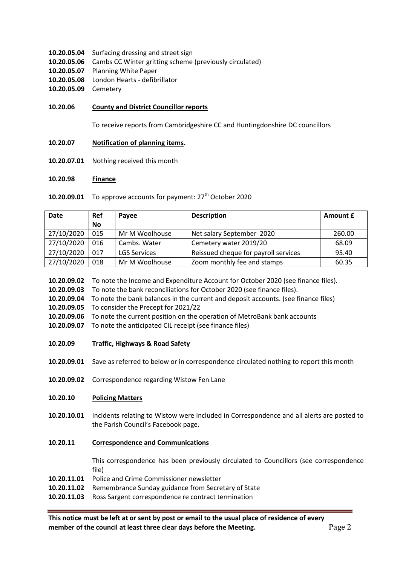- **10.20.05.04** Surfacing dressing and street sign
- **10.20.05.06** Cambs CC Winter gritting scheme (previously circulated)
- **10.20.05.07** Planning White Paper
- **10.20.05.08** London Hearts defibrillator
- **10.20.05.09** Cemetery

### **10.20.06 County and District Councillor reports**

To receive reports from Cambridgeshire CC and Huntingdonshire DC councillors

- **10.20.07 Notification of planning items.**
- **10.20.07.01** Nothing received this month

#### **10.20.98 Finance**

10.20.09.01 To approve accounts for payment: 27<sup>th</sup> October 2020

| <b>Date</b> | <b>Ref</b> | Payee               | <b>Description</b>                   | Amount £ |
|-------------|------------|---------------------|--------------------------------------|----------|
|             | <b>No</b>  |                     |                                      |          |
| 27/10/2020  | 015        | Mr M Woolhouse      | Net salary September 2020            | 260.00   |
| 27/10/2020  | 016        | Cambs. Water        | Cemetery water 2019/20               | 68.09    |
| 27/10/2020  | 017        | <b>LGS Services</b> | Reissued cheque for payroll services | 95.40    |
| 27/10/2020  | 018        | Mr M Woolhouse      | Zoom monthly fee and stamps          | 60.35    |

**10.20.09.02** To note the Income and Expenditure Account for October 2020 (see finance files).

**10.20.09.03** To note the bank reconciliations for October 2020 (see finance files).

- **10.20.09.04** To note the bank balances in the current and deposit accounts. (see finance files)
- **10.20.09.05** To consider the Precept for 2021/22
- **10.20.09.06** To note the current position on the operation of MetroBank bank accounts
- **10.20.09.07** To note the anticipated CIL receipt (see finance files)
- **10.20.09 Traffic, Highways & Road Safety**
- **10.20.09.01** Save as referred to below or in correspondence circulated nothing to report this month
- **10.20.09.02** Correspondence regarding Wistow Fen Lane

#### **10.20.10 Policing Matters**

**10.20.10.01** Incidents relating to Wistow were included in Correspondence and all alerts are posted to the Parish Council's Facebook page.

#### **10.20.11 Correspondence and Communications**

This correspondence has been previously circulated to Councillors (see correspondence file)

- **10.20.11.01** Police and Crime Commissioner newsletter
- **10.20.11.02** Remembrance Sunday guidance from Secretary of State
- **10.20.11.03** Ross Sargent correspondence re contract termination